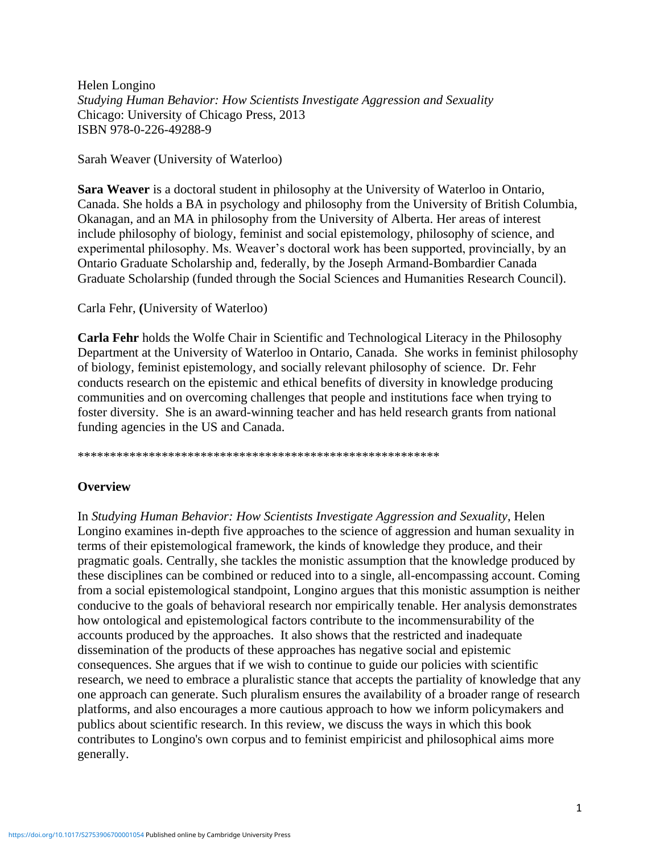Helen Longino *Studying Human Behavior: How Scientists Investigate Aggression and Sexuality* Chicago: University of Chicago Press, 2013 ISBN 978-0-226-49288-9

Sarah Weaver (University of Waterloo)

**Sara Weaver** is a doctoral student in philosophy at the University of Waterloo in Ontario, Canada. She holds a BA in psychology and philosophy from the University of British Columbia, Okanagan, and an MA in philosophy from the University of Alberta. Her areas of interest include philosophy of biology, feminist and social epistemology, philosophy of science, and experimental philosophy. Ms. Weaver's doctoral work has been supported, provincially, by an Ontario Graduate Scholarship and, federally, by the Joseph Armand-Bombardier Canada Graduate Scholarship (funded through the Social Sciences and Humanities Research Council).

## Carla Fehr, **(**University of Waterloo)

**Carla Fehr** holds the Wolfe Chair in Scientific and Technological Literacy in the Philosophy Department at the University of Waterloo in Ontario, Canada. She works in feminist philosophy of biology, feminist epistemology, and socially relevant philosophy of science. Dr. Fehr conducts research on the epistemic and ethical benefits of diversity in knowledge producing communities and on overcoming challenges that people and institutions face when trying to foster diversity. She is an award-winning teacher and has held research grants from national funding agencies in the US and Canada.

\*\*\*\*\*\*\*\*\*\*\*\*\*\*\*\*\*\*\*\*\*\*\*\*\*\*\*\*\*\*\*\*\*\*\*\*\*\*\*\*\*\*\*\*\*\*\*\*\*\*\*\*\*\*\*\*

## **Overview**

In *Studying Human Behavior: How Scientists Investigate Aggression and Sexuality*, Helen Longino examines in-depth five approaches to the science of aggression and human sexuality in terms of their epistemological framework, the kinds of knowledge they produce, and their pragmatic goals. Centrally, she tackles the monistic assumption that the knowledge produced by these disciplines can be combined or reduced into to a single, all-encompassing account. Coming from a social epistemological standpoint, Longino argues that this monistic assumption is neither conducive to the goals of behavioral research nor empirically tenable. Her analysis demonstrates how ontological and epistemological factors contribute to the incommensurability of the accounts produced by the approaches. It also shows that the restricted and inadequate dissemination of the products of these approaches has negative social and epistemic consequences. She argues that if we wish to continue to guide our policies with scientific research, we need to embrace a pluralistic stance that accepts the partiality of knowledge that any one approach can generate. Such pluralism ensures the availability of a broader range of research platforms, and also encourages a more cautious approach to how we inform policymakers and publics about scientific research. In this review, we discuss the ways in which this book contributes to Longino's own corpus and to feminist empiricist and philosophical aims more generally.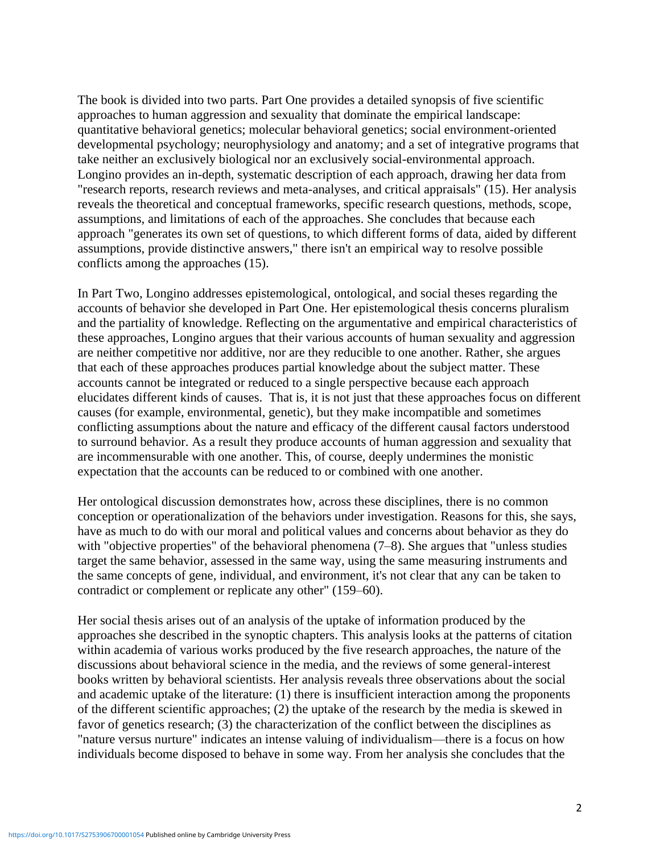The book is divided into two parts. Part One provides a detailed synopsis of five scientific approaches to human aggression and sexuality that dominate the empirical landscape: quantitative behavioral genetics; molecular behavioral genetics; social environment-oriented developmental psychology; neurophysiology and anatomy; and a set of integrative programs that take neither an exclusively biological nor an exclusively social-environmental approach. Longino provides an in-depth, systematic description of each approach, drawing her data from "research reports, research reviews and meta-analyses, and critical appraisals" (15). Her analysis reveals the theoretical and conceptual frameworks, specific research questions, methods, scope, assumptions, and limitations of each of the approaches. She concludes that because each approach "generates its own set of questions, to which different forms of data, aided by different assumptions, provide distinctive answers," there isn't an empirical way to resolve possible conflicts among the approaches (15).

In Part Two, Longino addresses epistemological, ontological, and social theses regarding the accounts of behavior she developed in Part One. Her epistemological thesis concerns pluralism and the partiality of knowledge. Reflecting on the argumentative and empirical characteristics of these approaches, Longino argues that their various accounts of human sexuality and aggression are neither competitive nor additive, nor are they reducible to one another. Rather, she argues that each of these approaches produces partial knowledge about the subject matter. These accounts cannot be integrated or reduced to a single perspective because each approach elucidates different kinds of causes. That is, it is not just that these approaches focus on different causes (for example, environmental, genetic), but they make incompatible and sometimes conflicting assumptions about the nature and efficacy of the different causal factors understood to surround behavior. As a result they produce accounts of human aggression and sexuality that are incommensurable with one another. This, of course, deeply undermines the monistic expectation that the accounts can be reduced to or combined with one another.

Her ontological discussion demonstrates how, across these disciplines, there is no common conception or operationalization of the behaviors under investigation. Reasons for this, she says, have as much to do with our moral and political values and concerns about behavior as they do with "objective properties" of the behavioral phenomena (7–8). She argues that "unless studies target the same behavior, assessed in the same way, using the same measuring instruments and the same concepts of gene, individual, and environment, it's not clear that any can be taken to contradict or complement or replicate any other" (159–60).

Her social thesis arises out of an analysis of the uptake of information produced by the approaches she described in the synoptic chapters. This analysis looks at the patterns of citation within academia of various works produced by the five research approaches, the nature of the discussions about behavioral science in the media, and the reviews of some general-interest books written by behavioral scientists. Her analysis reveals three observations about the social and academic uptake of the literature: (1) there is insufficient interaction among the proponents of the different scientific approaches; (2) the uptake of the research by the media is skewed in favor of genetics research; (3) the characterization of the conflict between the disciplines as "nature versus nurture" indicates an intense valuing of individualism—there is a focus on how individuals become disposed to behave in some way. From her analysis she concludes that the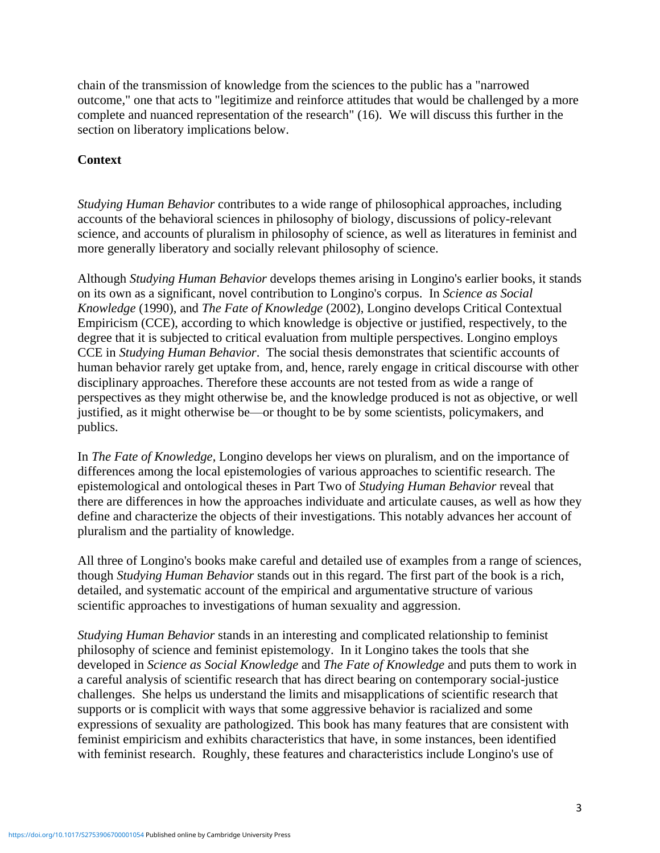chain of the transmission of knowledge from the sciences to the public has a "narrowed outcome," one that acts to "legitimize and reinforce attitudes that would be challenged by a more complete and nuanced representation of the research" (16). We will discuss this further in the section on liberatory implications below.

## **Context**

*Studying Human Behavior* contributes to a wide range of philosophical approaches, including accounts of the behavioral sciences in philosophy of biology, discussions of policy-relevant science, and accounts of pluralism in philosophy of science, as well as literatures in feminist and more generally liberatory and socially relevant philosophy of science.

Although *Studying Human Behavior* develops themes arising in Longino's earlier books, it stands on its own as a significant, novel contribution to Longino's corpus. In *Science as Social Knowledge* (1990), and *The Fate of Knowledge* (2002), Longino develops Critical Contextual Empiricism (CCE), according to which knowledge is objective or justified, respectively, to the degree that it is subjected to critical evaluation from multiple perspectives. Longino employs CCE in *Studying Human Behavior*. The social thesis demonstrates that scientific accounts of human behavior rarely get uptake from, and, hence, rarely engage in critical discourse with other disciplinary approaches. Therefore these accounts are not tested from as wide a range of perspectives as they might otherwise be, and the knowledge produced is not as objective, or well justified, as it might otherwise be—or thought to be by some scientists, policymakers, and publics.

In *The Fate of Knowledge*, Longino develops her views on pluralism, and on the importance of differences among the local epistemologies of various approaches to scientific research. The epistemological and ontological theses in Part Two of *Studying Human Behavior* reveal that there are differences in how the approaches individuate and articulate causes, as well as how they define and characterize the objects of their investigations. This notably advances her account of pluralism and the partiality of knowledge.

All three of Longino's books make careful and detailed use of examples from a range of sciences, though *Studying Human Behavior* stands out in this regard. The first part of the book is a rich, detailed, and systematic account of the empirical and argumentative structure of various scientific approaches to investigations of human sexuality and aggression.

*Studying Human Behavior* stands in an interesting and complicated relationship to feminist philosophy of science and feminist epistemology. In it Longino takes the tools that she developed in *Science as Social Knowledge* and *The Fate of Knowledge* and puts them to work in a careful analysis of scientific research that has direct bearing on contemporary social-justice challenges. She helps us understand the limits and misapplications of scientific research that supports or is complicit with ways that some aggressive behavior is racialized and some expressions of sexuality are pathologized. This book has many features that are consistent with feminist empiricism and exhibits characteristics that have, in some instances, been identified with feminist research. Roughly, these features and characteristics include Longino's use of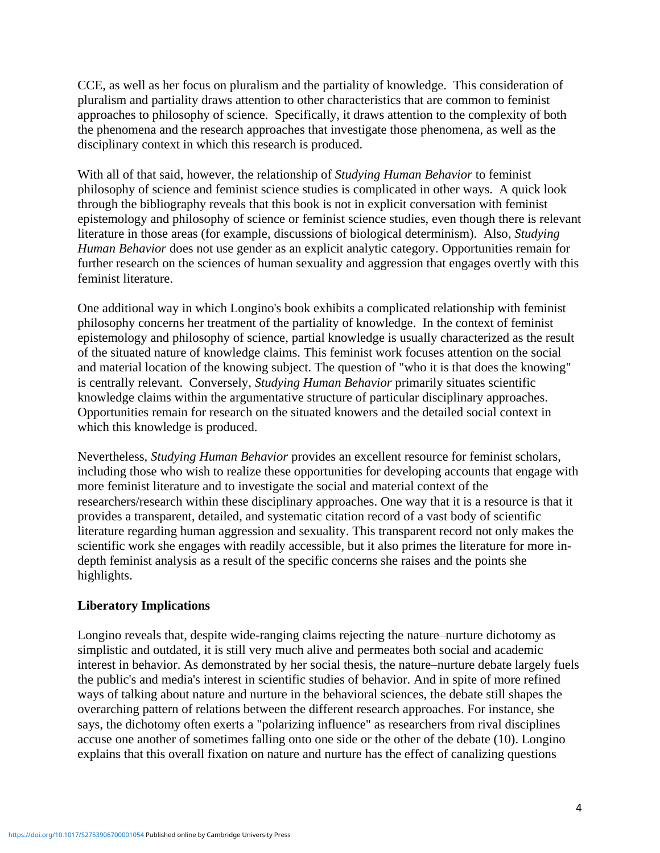CCE, as well as her focus on pluralism and the partiality of knowledge. This consideration of pluralism and partiality draws attention to other characteristics that are common to feminist approaches to philosophy of science. Specifically, it draws attention to the complexity of both the phenomena and the research approaches that investigate those phenomena, as well as the disciplinary context in which this research is produced.

With all of that said, however, the relationship of *Studying Human Behavior* to feminist philosophy of science and feminist science studies is complicated in other ways. A quick look through the bibliography reveals that this book is not in explicit conversation with feminist epistemology and philosophy of science or feminist science studies, even though there is relevant literature in those areas (for example, discussions of biological determinism). Also, *Studying Human Behavior* does not use gender as an explicit analytic category. Opportunities remain for further research on the sciences of human sexuality and aggression that engages overtly with this feminist literature.

One additional way in which Longino's book exhibits a complicated relationship with feminist philosophy concerns her treatment of the partiality of knowledge. In the context of feminist epistemology and philosophy of science, partial knowledge is usually characterized as the result of the situated nature of knowledge claims. This feminist work focuses attention on the social and material location of the knowing subject. The question of "who it is that does the knowing" is centrally relevant. Conversely, *Studying Human Behavior* primarily situates scientific knowledge claims within the argumentative structure of particular disciplinary approaches. Opportunities remain for research on the situated knowers and the detailed social context in which this knowledge is produced.

Nevertheless, *Studying Human Behavior* provides an excellent resource for feminist scholars, including those who wish to realize these opportunities for developing accounts that engage with more feminist literature and to investigate the social and material context of the researchers/research within these disciplinary approaches. One way that it is a resource is that it provides a transparent, detailed, and systematic citation record of a vast body of scientific literature regarding human aggression and sexuality. This transparent record not only makes the scientific work she engages with readily accessible, but it also primes the literature for more indepth feminist analysis as a result of the specific concerns she raises and the points she highlights.

## **Liberatory Implications**

Longino reveals that, despite wide-ranging claims rejecting the nature–nurture dichotomy as simplistic and outdated, it is still very much alive and permeates both social and academic interest in behavior. As demonstrated by her social thesis, the nature–nurture debate largely fuels the public's and media's interest in scientific studies of behavior. And in spite of more refined ways of talking about nature and nurture in the behavioral sciences, the debate still shapes the overarching pattern of relations between the different research approaches. For instance, she says, the dichotomy often exerts a "polarizing influence" as researchers from rival disciplines accuse one another of sometimes falling onto one side or the other of the debate (10). Longino explains that this overall fixation on nature and nurture has the effect of canalizing questions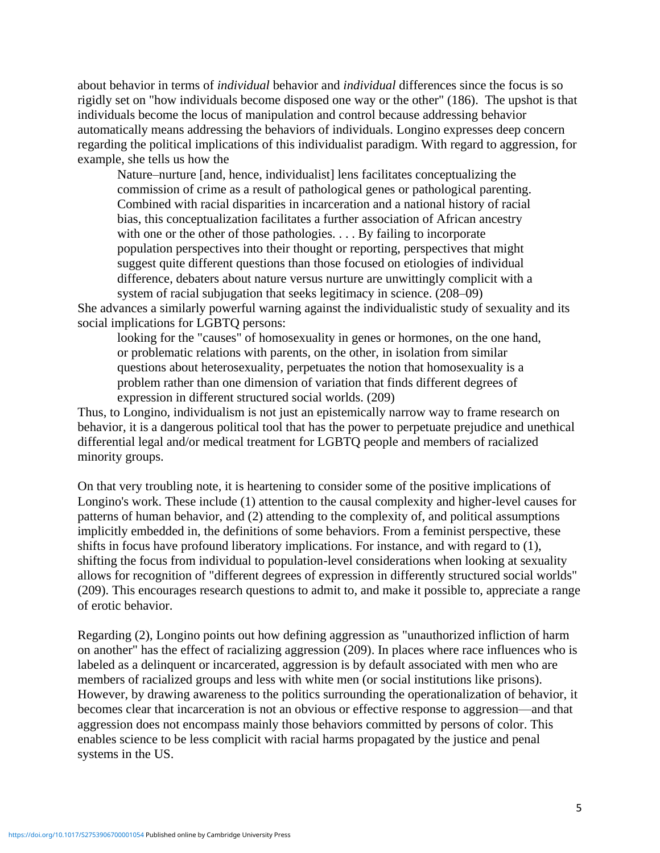about behavior in terms of *individual* behavior and *individual* differences since the focus is so rigidly set on "how individuals become disposed one way or the other" (186). The upshot is that individuals become the locus of manipulation and control because addressing behavior automatically means addressing the behaviors of individuals. Longino expresses deep concern regarding the political implications of this individualist paradigm. With regard to aggression, for example, she tells us how the

Nature–nurture [and, hence, individualist] lens facilitates conceptualizing the commission of crime as a result of pathological genes or pathological parenting. Combined with racial disparities in incarceration and a national history of racial bias, this conceptualization facilitates a further association of African ancestry with one or the other of those pathologies.  $\ldots$  By failing to incorporate population perspectives into their thought or reporting, perspectives that might suggest quite different questions than those focused on etiologies of individual difference, debaters about nature versus nurture are unwittingly complicit with a system of racial subjugation that seeks legitimacy in science. (208–09)

She advances a similarly powerful warning against the individualistic study of sexuality and its social implications for LGBTQ persons:

looking for the "causes" of homosexuality in genes or hormones, on the one hand, or problematic relations with parents, on the other, in isolation from similar questions about heterosexuality, perpetuates the notion that homosexuality is a problem rather than one dimension of variation that finds different degrees of expression in different structured social worlds. (209)

Thus, to Longino, individualism is not just an epistemically narrow way to frame research on behavior, it is a dangerous political tool that has the power to perpetuate prejudice and unethical differential legal and/or medical treatment for LGBTQ people and members of racialized minority groups.

On that very troubling note, it is heartening to consider some of the positive implications of Longino's work. These include (1) attention to the causal complexity and higher-level causes for patterns of human behavior, and (2) attending to the complexity of, and political assumptions implicitly embedded in, the definitions of some behaviors. From a feminist perspective, these shifts in focus have profound liberatory implications. For instance, and with regard to (1), shifting the focus from individual to population-level considerations when looking at sexuality allows for recognition of "different degrees of expression in differently structured social worlds" (209). This encourages research questions to admit to, and make it possible to, appreciate a range of erotic behavior.

Regarding (2), Longino points out how defining aggression as "unauthorized infliction of harm on another" has the effect of racializing aggression (209). In places where race influences who is labeled as a delinquent or incarcerated, aggression is by default associated with men who are members of racialized groups and less with white men (or social institutions like prisons). However, by drawing awareness to the politics surrounding the operationalization of behavior, it becomes clear that incarceration is not an obvious or effective response to aggression—and that aggression does not encompass mainly those behaviors committed by persons of color. This enables science to be less complicit with racial harms propagated by the justice and penal systems in the US.